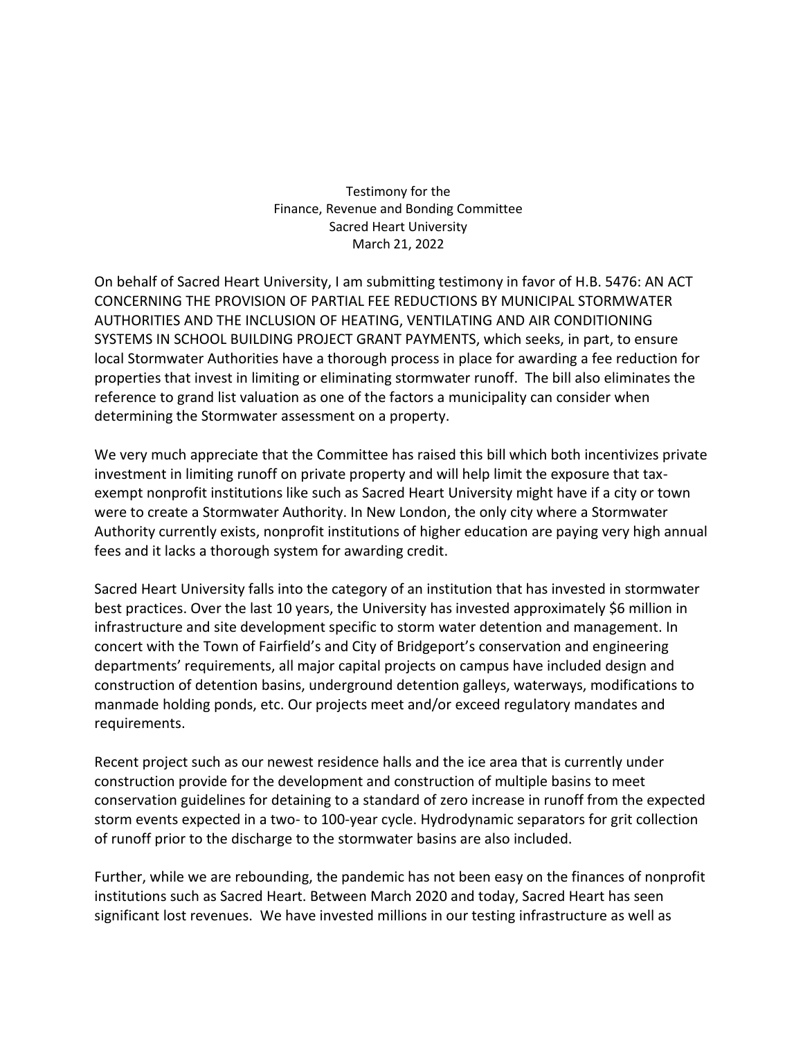Testimony for the Finance, Revenue and Bonding Committee Sacred Heart University March 21, 2022

On behalf of Sacred Heart University, I am submitting testimony in favor of H.B. 5476: AN ACT CONCERNING THE PROVISION OF PARTIAL FEE REDUCTIONS BY MUNICIPAL STORMWATER AUTHORITIES AND THE INCLUSION OF HEATING, VENTILATING AND AIR CONDITIONING SYSTEMS IN SCHOOL BUILDING PROJECT GRANT PAYMENTS, which seeks, in part, to ensure local Stormwater Authorities have a thorough process in place for awarding a fee reduction for properties that invest in limiting or eliminating stormwater runoff. The bill also eliminates the reference to grand list valuation as one of the factors a municipality can consider when determining the Stormwater assessment on a property.

We very much appreciate that the Committee has raised this bill which both incentivizes private investment in limiting runoff on private property and will help limit the exposure that taxexempt nonprofit institutions like such as Sacred Heart University might have if a city or town were to create a Stormwater Authority. In New London, the only city where a Stormwater Authority currently exists, nonprofit institutions of higher education are paying very high annual fees and it lacks a thorough system for awarding credit.

Sacred Heart University falls into the category of an institution that has invested in stormwater best practices. Over the last 10 years, the University has invested approximately \$6 million in infrastructure and site development specific to storm water detention and management. In concert with the Town of Fairfield's and City of Bridgeport's conservation and engineering departments' requirements, all major capital projects on campus have included design and construction of detention basins, underground detention galleys, waterways, modifications to manmade holding ponds, etc. Our projects meet and/or exceed regulatory mandates and requirements.

Recent project such as our newest residence halls and the ice area that is currently under construction provide for the development and construction of multiple basins to meet conservation guidelines for detaining to a standard of zero increase in runoff from the expected storm events expected in a two- to 100-year cycle. Hydrodynamic separators for grit collection of runoff prior to the discharge to the stormwater basins are also included.

Further, while we are rebounding, the pandemic has not been easy on the finances of nonprofit institutions such as Sacred Heart. Between March 2020 and today, Sacred Heart has seen significant lost revenues. We have invested millions in our testing infrastructure as well as